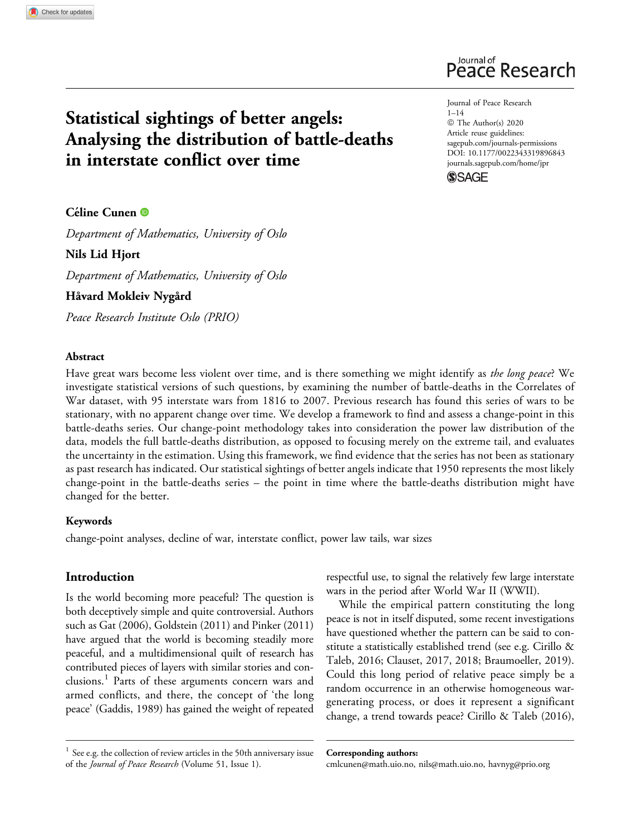

# Statistical sightings of better angels: Analysing the distribution of battle-deaths in interstate conflict over time

Journal of Peace Research 1–14 © The Author(s) 2020 Article reuse guidelines: [sagepub.com/journals-permissions](https://sagepub.com/journals-permissions) [DOI: 10.1177/0022343319896843](https://doi.org/10.1177/0022343319896843) [journals.sagepub.com/home/jpr](http://journals.sagepub.com/home/jpr)



# Céline Cunen ®

Department of Mathematics, University of Oslo

# Nils Lid Hjort

Department of Mathematics, University of Oslo

Håvard Mokleiv Nygård

Peace Research Institute Oslo (PRIO)

#### Abstract

Have great wars become less violent over time, and is there something we might identify as the long peace? We investigate statistical versions of such questions, by examining the number of battle-deaths in the Correlates of War dataset, with 95 interstate wars from 1816 to 2007. Previous research has found this series of wars to be stationary, with no apparent change over time. We develop a framework to find and assess a change-point in this battle-deaths series. Our change-point methodology takes into consideration the power law distribution of the data, models the full battle-deaths distribution, as opposed to focusing merely on the extreme tail, and evaluates the uncertainty in the estimation. Using this framework, we find evidence that the series has not been as stationary as past research has indicated. Our statistical sightings of better angels indicate that 1950 represents the most likely change-point in the battle-deaths series – the point in time where the battle-deaths distribution might have changed for the better.

## Keywords

change-point analyses, decline of war, interstate conflict, power law tails, war sizes

# Introduction

Is the world becoming more peaceful? The question is both deceptively simple and quite controversial. Authors such as Gat (2006), Goldstein (2011) and Pinker (2011) have argued that the world is becoming steadily more peaceful, and a multidimensional quilt of research has contributed pieces of layers with similar stories and conclusions.<sup>1</sup> Parts of these arguments concern wars and armed conflicts, and there, the concept of 'the long peace' (Gaddis, 1989) has gained the weight of repeated

 $1$  See e.g. the collection of review articles in the 50th anniversary issue of the Journal of Peace Research (Volume 51, Issue 1).

respectful use, to signal the relatively few large interstate wars in the period after World War II (WWII).

While the empirical pattern constituting the long peace is not in itself disputed, some recent investigations have questioned whether the pattern can be said to constitute a statistically established trend (see e.g. Cirillo & Taleb, 2016; Clauset, 2017, 2018; Braumoeller, 2019). Could this long period of relative peace simply be a random occurrence in an otherwise homogeneous wargenerating process, or does it represent a significant change, a trend towards peace? Cirillo & Taleb (2016),

Corresponding authors:

[cmlcunen@math.uio.no,](mailto:cmlcunen@math.uio.no) [nils@math.uio.no,](mailto:nils@math.uio.no) [havnyg@prio.org](mailto:havnyg@prio.org)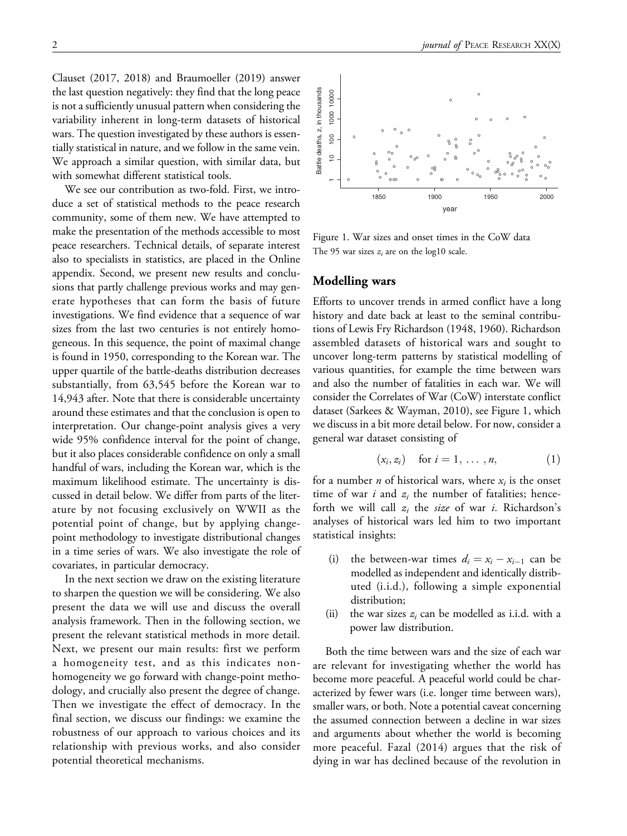Clauset (2017, 2018) and Braumoeller (2019) answer the last question negatively: they find that the long peace is not a sufficiently unusual pattern when considering the variability inherent in long-term datasets of historical wars. The question investigated by these authors is essentially statistical in nature, and we follow in the same vein. We approach a similar question, with similar data, but with somewhat different statistical tools.

We see our contribution as two-fold. First, we introduce a set of statistical methods to the peace research community, some of them new. We have attempted to make the presentation of the methods accessible to most peace researchers. Technical details, of separate interest also to specialists in statistics, are placed in the Online appendix. Second, we present new results and conclusions that partly challenge previous works and may generate hypotheses that can form the basis of future investigations. We find evidence that a sequence of war sizes from the last two centuries is not entirely homogeneous. In this sequence, the point of maximal change is found in 1950, corresponding to the Korean war. The upper quartile of the battle-deaths distribution decreases substantially, from 63,545 before the Korean war to 14,943 after. Note that there is considerable uncertainty around these estimates and that the conclusion is open to interpretation. Our change-point analysis gives a very wide 95% confidence interval for the point of change, but it also places considerable confidence on only a small handful of wars, including the Korean war, which is the maximum likelihood estimate. The uncertainty is discussed in detail below. We differ from parts of the literature by not focusing exclusively on WWII as the potential point of change, but by applying changepoint methodology to investigate distributional changes in a time series of wars. We also investigate the role of covariates, in particular democracy.

In the next section we draw on the existing literature to sharpen the question we will be considering. We also present the data we will use and discuss the overall analysis framework. Then in the following section, we present the relevant statistical methods in more detail. Next, we present our main results: first we perform a homogeneity test, and as this indicates nonhomogeneity we go forward with change-point methodology, and crucially also present the degree of change. Then we investigate the effect of democracy. In the final section, we discuss our findings: we examine the robustness of our approach to various choices and its relationship with previous works, and also consider potential theoretical mechanisms.



Figure 1. War sizes and onset times in the CoW data The 95 war sizes  $z_i$  are on the log10 scale.

#### Modelling wars

Efforts to uncover trends in armed conflict have a long history and date back at least to the seminal contributions of Lewis Fry Richardson (1948, 1960). Richardson assembled datasets of historical wars and sought to uncover long-term patterns by statistical modelling of various quantities, for example the time between wars and also the number of fatalities in each war. We will consider the Correlates of War (CoW) interstate conflict dataset (Sarkees & Wayman, 2010), see Figure 1, which we discuss in a bit more detail below. For now, consider a general war dataset consisting of

$$
(x_i, z_i) \quad \text{for } i = 1, \ldots, n,
$$
 (1)

for a number *n* of historical wars, where  $x_i$  is the onset time of war  $i$  and  $z_i$  the number of fatalities; henceforth we will call  $z_i$  the *size* of war *i*. Richardson's analyses of historical wars led him to two important statistical insights:

- (i) the between-war times  $d_i = x_i x_{i-1}$  can be modelled as independent and identically distributed (i.i.d.), following a simple exponential distribution;
- (ii) the war sizes  $z_i$  can be modelled as i.i.d. with a power law distribution.

Both the time between wars and the size of each war are relevant for investigating whether the world has become more peaceful. A peaceful world could be characterized by fewer wars (i.e. longer time between wars), smaller wars, or both. Note a potential caveat concerning the assumed connection between a decline in war sizes and arguments about whether the world is becoming more peaceful. Fazal (2014) argues that the risk of dying in war has declined because of the revolution in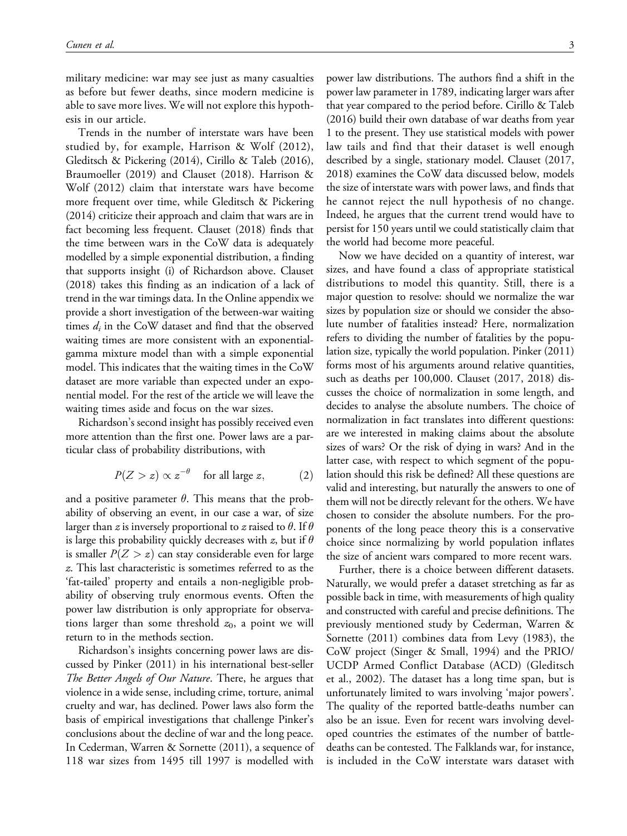military medicine: war may see just as many casualties as before but fewer deaths, since modern medicine is able to save more lives. We will not explore this hypothesis in our article.

Trends in the number of interstate wars have been studied by, for example, Harrison & Wolf (2012), Gleditsch & Pickering (2014), Cirillo & Taleb (2016), Braumoeller (2019) and Clauset (2018). Harrison & Wolf (2012) claim that interstate wars have become more frequent over time, while Gleditsch & Pickering (2014) criticize their approach and claim that wars are in fact becoming less frequent. Clauset (2018) finds that the time between wars in the CoW data is adequately modelled by a simple exponential distribution, a finding that supports insight (i) of Richardson above. Clauset (2018) takes this finding as an indication of a lack of trend in the war timings data. In the Online appendix we provide a short investigation of the between-war waiting times  $d_i$  in the CoW dataset and find that the observed waiting times are more consistent with an exponentialgamma mixture model than with a simple exponential model. This indicates that the waiting times in the CoW dataset are more variable than expected under an exponential model. For the rest of the article we will leave the waiting times aside and focus on the war sizes.

Richardson's second insight has possibly received even more attention than the first one. Power laws are a particular class of probability distributions, with

$$
P(Z > z) \propto z^{-\theta} \quad \text{for all large } z,
$$
 (2)

and a positive parameter  $\theta.$  This means that the probability of observing an event, in our case a war, of size larger than  $z$  is inversely proportional to  $z$  raised to  $\theta.$  If  $\theta$ is large this probability quickly decreases with  $z$ , but if  $\theta$ is smaller  $P(Z > z)$  can stay considerable even for large z. This last characteristic is sometimes referred to as the 'fat-tailed' property and entails a non-negligible probability of observing truly enormous events. Often the power law distribution is only appropriate for observations larger than some threshold  $z_0$ , a point we will return to in the methods section.

Richardson's insights concerning power laws are discussed by Pinker (2011) in his international best-seller The Better Angels of Our Nature. There, he argues that violence in a wide sense, including crime, torture, animal cruelty and war, has declined. Power laws also form the basis of empirical investigations that challenge Pinker's conclusions about the decline of war and the long peace. In Cederman, Warren & Sornette (2011), a sequence of 118 war sizes from 1495 till 1997 is modelled with

power law distributions. The authors find a shift in the power law parameter in 1789, indicating larger wars after that year compared to the period before. Cirillo & Taleb (2016) build their own database of war deaths from year 1 to the present. They use statistical models with power law tails and find that their dataset is well enough described by a single, stationary model. Clauset (2017, 2018) examines the CoW data discussed below, models the size of interstate wars with power laws, and finds that he cannot reject the null hypothesis of no change. Indeed, he argues that the current trend would have to persist for 150 years until we could statistically claim that the world had become more peaceful.

Now we have decided on a quantity of interest, war sizes, and have found a class of appropriate statistical distributions to model this quantity. Still, there is a major question to resolve: should we normalize the war sizes by population size or should we consider the absolute number of fatalities instead? Here, normalization refers to dividing the number of fatalities by the population size, typically the world population. Pinker (2011) forms most of his arguments around relative quantities, such as deaths per 100,000. Clauset (2017, 2018) discusses the choice of normalization in some length, and decides to analyse the absolute numbers. The choice of normalization in fact translates into different questions: are we interested in making claims about the absolute sizes of wars? Or the risk of dying in wars? And in the latter case, with respect to which segment of the population should this risk be defined? All these questions are valid and interesting, but naturally the answers to one of them will not be directly relevant for the others. We have chosen to consider the absolute numbers. For the proponents of the long peace theory this is a conservative choice since normalizing by world population inflates the size of ancient wars compared to more recent wars.

Further, there is a choice between different datasets. Naturally, we would prefer a dataset stretching as far as possible back in time, with measurements of high quality and constructed with careful and precise definitions. The previously mentioned study by Cederman, Warren & Sornette (2011) combines data from Levy (1983), the CoW project (Singer & Small, 1994) and the PRIO/ UCDP Armed Conflict Database (ACD) (Gleditsch et al., 2002). The dataset has a long time span, but is unfortunately limited to wars involving 'major powers'. The quality of the reported battle-deaths number can also be an issue. Even for recent wars involving developed countries the estimates of the number of battledeaths can be contested. The Falklands war, for instance, is included in the CoW interstate wars dataset with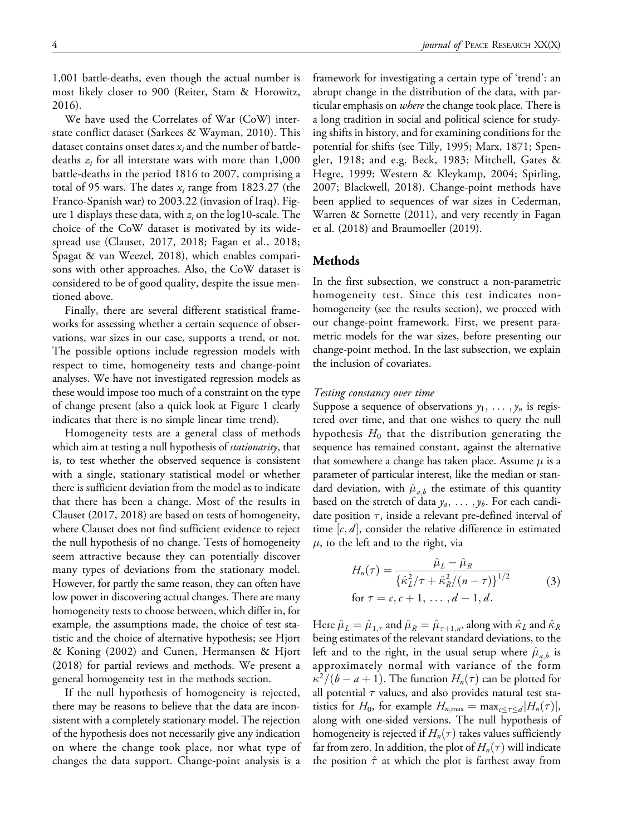1,001 battle-deaths, even though the actual number is most likely closer to 900 (Reiter, Stam & Horowitz, 2016).

We have used the Correlates of War (CoW) interstate conflict dataset (Sarkees & Wayman, 2010). This dataset contains onset dates  $x_i$  and the number of battledeaths  $z_i$  for all interstate wars with more than 1,000 battle-deaths in the period 1816 to 2007, comprising a total of 95 wars. The dates  $x_i$  range from 1823.27 (the Franco-Spanish war) to 2003.22 (invasion of Iraq). Figure 1 displays these data, with  $z_i$  on the log10-scale. The choice of the CoW dataset is motivated by its widespread use (Clauset, 2017, 2018; Fagan et al., 2018; Spagat & van Weezel, 2018), which enables comparisons with other approaches. Also, the CoW dataset is considered to be of good quality, despite the issue mentioned above.

Finally, there are several different statistical frameworks for assessing whether a certain sequence of observations, war sizes in our case, supports a trend, or not. The possible options include regression models with respect to time, homogeneity tests and change-point analyses. We have not investigated regression models as these would impose too much of a constraint on the type of change present (also a quick look at Figure 1 clearly indicates that there is no simple linear time trend).

Homogeneity tests are a general class of methods which aim at testing a null hypothesis of *stationarity*, that is, to test whether the observed sequence is consistent with a single, stationary statistical model or whether there is sufficient deviation from the model as to indicate that there has been a change. Most of the results in Clauset (2017, 2018) are based on tests of homogeneity, where Clauset does not find sufficient evidence to reject the null hypothesis of no change. Tests of homogeneity seem attractive because they can potentially discover many types of deviations from the stationary model. However, for partly the same reason, they can often have low power in discovering actual changes. There are many homogeneity tests to choose between, which differ in, for example, the assumptions made, the choice of test statistic and the choice of alternative hypothesis; see Hjort & Koning (2002) and Cunen, Hermansen & Hjort (2018) for partial reviews and methods. We present a general homogeneity test in the methods section.

If the null hypothesis of homogeneity is rejected, there may be reasons to believe that the data are inconsistent with a completely stationary model. The rejection of the hypothesis does not necessarily give any indication on where the change took place, nor what type of changes the data support. Change-point analysis is a

framework for investigating a certain type of 'trend': an abrupt change in the distribution of the data, with particular emphasis on where the change took place. There is a long tradition in social and political science for studying shifts in history, and for examining conditions for the potential for shifts (see Tilly, 1995; Marx, 1871; Spengler, 1918; and e.g. Beck, 1983; Mitchell, Gates & Hegre, 1999; Western & Kleykamp, 2004; Spirling, 2007; Blackwell, 2018). Change-point methods have been applied to sequences of war sizes in Cederman, Warren & Sornette (2011), and very recently in Fagan et al. (2018) and Braumoeller (2019).

#### Methods

In the first subsection, we construct a non-parametric homogeneity test. Since this test indicates nonhomogeneity (see the results section), we proceed with our change-point framework. First, we present parametric models for the war sizes, before presenting our change-point method. In the last subsection, we explain the inclusion of covariates.

# Testing constancy over time

Suppose a sequence of observations  $y_1, \ldots, y_n$  is registered over time, and that one wishes to query the null hypothesis  $H_0$  that the distribution generating the sequence has remained constant, against the alternative that somewhere a change has taken place. Assume  $\mu$  is a parameter of particular interest, like the median or standard deviation, with  $\hat{\mu}_{a,b}$  the estimate of this quantity based on the stretch of data  $y_a$ , ...,  $y_b$ . For each candidate position  $\tau$ , inside a relevant pre-defined interval of time  $[c, d]$ , consider the relative difference in estimated  $\mu$ , to the left and to the right, via

$$
H_n(\tau) = \frac{\hat{\mu}_L - \hat{\mu}_R}{\{\hat{\kappa}_L^2/\tau + \hat{\kappa}_R^2/(n-\tau)\}^{1/2}}
$$
(3)  
for  $\tau = c, c + 1, ..., d - 1, d$ .

Here  $\hat{\mu}_L = \hat{\mu}_{1,\tau}$  and  $\hat{\mu}_R = \hat{\mu}_{\tau+1,n}$ , along with  $\hat{\kappa}_L$  and  $\hat{\kappa}_R$ being estimates of the relevant standard deviations, to the left and to the right, in the usual setup where  $\hat{\mu}_{a,b}$  is approximately normal with variance of the form  $\kappa^2/(b-a+1)$ . The function  $H_n(\tau)$  can be plotted for all potential  $\tau$  values, and also provides natural test statistics for  $H_0$ , for example  $H_{n,\text{max}} = \max_{c \leq \tau \leq d} |H_n(\tau)|$ , along with one-sided versions. The null hypothesis of homogeneity is rejected if  $H_n(\tau)$  takes values sufficiently far from zero. In addition, the plot of  $H_n(\tau)$  will indicate the position  $\hat{\tau}$  at which the plot is farthest away from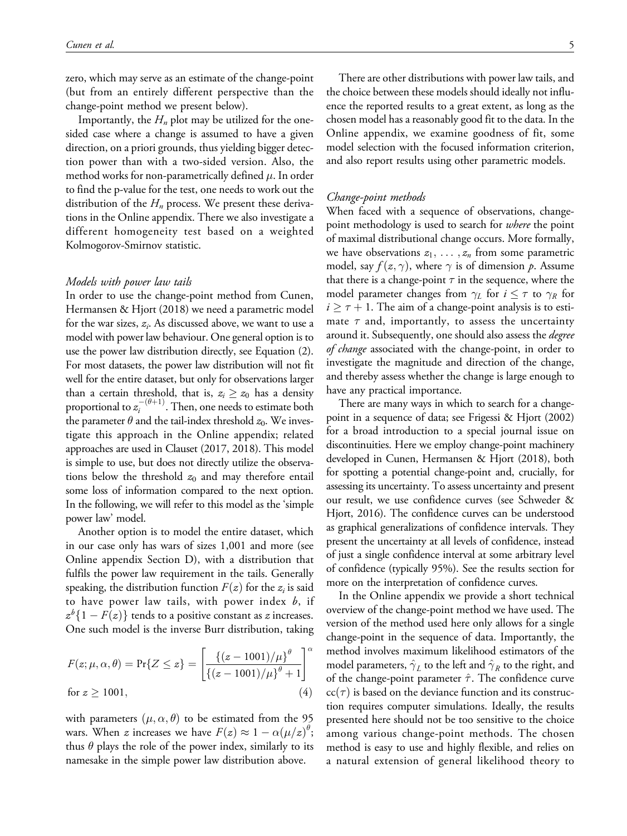zero, which may serve as an estimate of the change-point (but from an entirely different perspective than the change-point method we present below).

Importantly, the  $H_n$  plot may be utilized for the onesided case where a change is assumed to have a given direction, on a priori grounds, thus yielding bigger detection power than with a two-sided version. Also, the method works for non-parametrically defined  $\mu$ . In order to find the p-value for the test, one needs to work out the distribution of the  $H_n$  process. We present these derivations in the Online appendix. There we also investigate a different homogeneity test based on a weighted Kolmogorov-Smirnov statistic.

#### Models with power law tails

In order to use the change-point method from Cunen, Hermansen & Hjort (2018) we need a parametric model for the war sizes,  $z_i$ . As discussed above, we want to use a model with power law behaviour. One general option is to use the power law distribution directly, see Equation (2). For most datasets, the power law distribution will not fit well for the entire dataset, but only for observations larger than a certain threshold, that is,  $z_i \ge z_0$  has a density proportional to  $z_i^{-(\theta+1)}$ . Then, one needs to estimate both the parameter  $\theta$  and the tail-index threshold  $z_0$ . We investigate this approach in the Online appendix; related approaches are used in Clauset (2017, 2018). This model is simple to use, but does not directly utilize the observations below the threshold  $z_0$  and may therefore entail some loss of information compared to the next option. In the following, we will refer to this model as the 'simple power law' model.

Another option is to model the entire dataset, which in our case only has wars of sizes 1,001 and more (see Online appendix Section D), with a distribution that fulfils the power law requirement in the tails. Generally speaking, the distribution function  $F(z)$  for the  $z_i$  is said to have power law tails, with power index  $b$ , if  $z^{b}\{1-F(z)\}$  tends to a positive constant as  $z$  increases. One such model is the inverse Burr distribution, taking

$$
F(z; \mu, \alpha, \theta) = \Pr\{Z \le z\} = \left[\frac{\{(z - 1001)/\mu\}^{\theta}}{\{(z - 1001)/\mu\}^{\theta} + 1}\right]^{\alpha}
$$
  
for  $z \ge 1001$ , (4)

with parameters  $(\mu, \alpha, \theta)$  to be estimated from the 95 wars. When z increases we have  $F(z) \approx 1 - \alpha(\mu/z)^{\theta}$ ; thus  $\theta$  plays the role of the power index, similarly to its namesake in the simple power law distribution above.

There are other distributions with power law tails, and the choice between these models should ideally not influence the reported results to a great extent, as long as the chosen model has a reasonably good fit to the data. In the Online appendix, we examine goodness of fit, some model selection with the focused information criterion, and also report results using other parametric models.

#### Change-point methods

When faced with a sequence of observations, changepoint methodology is used to search for where the point of maximal distributional change occurs. More formally, we have observations  $z_1, \ldots, z_n$  from some parametric model, say  $f(z, \gamma)$ , where  $\gamma$  is of dimension p. Assume that there is a change-point  $\tau$  in the sequence, where the model parameter changes from  $\gamma_L$  for  $i \leq \tau$  to  $\gamma_R$  for  $i \geq \tau + 1$ . The aim of a change-point analysis is to estimate  $\tau$  and, importantly, to assess the uncertainty around it. Subsequently, one should also assess the *degree* of change associated with the change-point, in order to investigate the magnitude and direction of the change, and thereby assess whether the change is large enough to have any practical importance.

There are many ways in which to search for a changepoint in a sequence of data; see Frigessi & Hjort (2002) for a broad introduction to a special journal issue on discontinuities. Here we employ change-point machinery developed in Cunen, Hermansen & Hjort (2018), both for spotting a potential change-point and, crucially, for assessing its uncertainty. To assess uncertainty and present our result, we use confidence curves (see Schweder & Hjort, 2016). The confidence curves can be understood as graphical generalizations of confidence intervals. They present the uncertainty at all levels of confidence, instead of just a single confidence interval at some arbitrary level of confidence (typically 95%). See the results section for more on the interpretation of confidence curves.

In the Online appendix we provide a short technical overview of the change-point method we have used. The version of the method used here only allows for a single change-point in the sequence of data. Importantly, the method involves maximum likelihood estimators of the model parameters,  $\hat{\gamma}_L$  to the left and  $\hat{\gamma}_R$  to the right, and of the change-point parameter  $\hat{\tau}$ . The confidence curve  $cc(\tau)$  is based on the deviance function and its construction requires computer simulations. Ideally, the results presented here should not be too sensitive to the choice among various change-point methods. The chosen method is easy to use and highly flexible, and relies on a natural extension of general likelihood theory to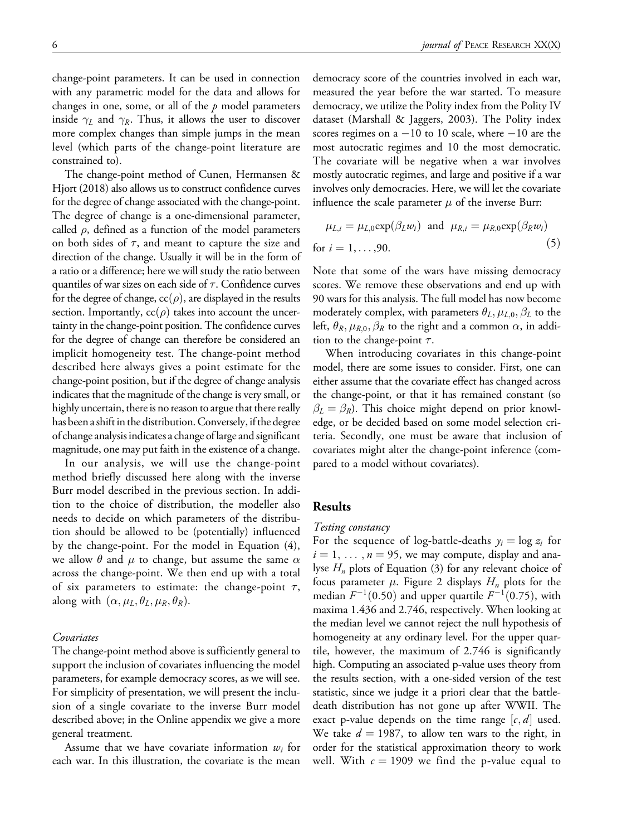change-point parameters. It can be used in connection with any parametric model for the data and allows for changes in one, some, or all of the  $p$  model parameters inside  $\gamma_L$  and  $\gamma_R$ . Thus, it allows the user to discover more complex changes than simple jumps in the mean level (which parts of the change-point literature are constrained to).

The change-point method of Cunen, Hermansen & Hjort (2018) also allows us to construct confidence curves for the degree of change associated with the change-point. The degree of change is a one-dimensional parameter, called  $\rho$ , defined as a function of the model parameters on both sides of  $\tau$ , and meant to capture the size and direction of the change. Usually it will be in the form of a ratio or a difference; here we will study the ratio between quantiles of war sizes on each side of  $\tau$ . Confidence curves for the degree of change,  $cc(\rho)$ , are displayed in the results section. Importantly,  $cc(\rho)$  takes into account the uncertainty in the change-point position. The confidence curves for the degree of change can therefore be considered an implicit homogeneity test. The change-point method described here always gives a point estimate for the change-point position, but if the degree of change analysis indicates that the magnitude of the change is very small, or highly uncertain, there is no reason to argue that there really has been a shift in the distribution. Conversely, if the degree of change analysis indicates a change of large and significant magnitude, one may put faith in the existence of a change.

In our analysis, we will use the change-point method briefly discussed here along with the inverse Burr model described in the previous section. In addition to the choice of distribution, the modeller also needs to decide on which parameters of the distribution should be allowed to be (potentially) influenced by the change-point. For the model in Equation (4), we allow  $\theta$  and  $\mu$  to change, but assume the same  $\alpha$ across the change-point. We then end up with a total of six parameters to estimate: the change-point  $\tau$ , along with  $(\alpha, \mu_L, \theta_L, \mu_R, \theta_R)$ .

#### Covariates

The change-point method above is sufficiently general to support the inclusion of covariates influencing the model parameters, for example democracy scores, as we will see. For simplicity of presentation, we will present the inclusion of a single covariate to the inverse Burr model described above; in the Online appendix we give a more general treatment.

Assume that we have covariate information  $w_i$  for each war. In this illustration, the covariate is the mean

democracy score of the countries involved in each war, measured the year before the war started. To measure democracy, we utilize the Polity index from the Polity IV dataset (Marshall & Jaggers, 2003). The Polity index scores regimes on a  $-10$  to 10 scale, where  $-10$  are the most autocratic regimes and 10 the most democratic. The covariate will be negative when a war involves mostly autocratic regimes, and large and positive if a war involves only democracies. Here, we will let the covariate influence the scale parameter  $\mu$  of the inverse Burr:

$$
\mu_{L,i} = \mu_{L,0} \exp(\beta_L w_i) \text{ and } \mu_{R,i} = \mu_{R,0} \exp(\beta_R w_i)
$$
  
for  $i = 1, ..., 90$ . (5)

Note that some of the wars have missing democracy scores. We remove these observations and end up with 90 wars for this analysis. The full model has now become moderately complex, with parameters  $\theta_L, \mu_{L,0}, \beta_L$  to the left,  $\theta_R$ ,  $\mu_{R,0}$ ,  $\beta_R$  to the right and a common  $\alpha$ , in addition to the change-point  $\tau$ .

When introducing covariates in this change-point model, there are some issues to consider. First, one can either assume that the covariate effect has changed across the change-point, or that it has remained constant (so  $\beta_L = \beta_R$ ). This choice might depend on prior knowledge, or be decided based on some model selection criteria. Secondly, one must be aware that inclusion of covariates might alter the change-point inference (compared to a model without covariates).

#### Results

#### Testing constancy

For the sequence of log-battle-deaths  $y_i = \log z_i$  for  $i = 1, \ldots, n = 95$ , we may compute, display and analyse  $H_n$  plots of Equation (3) for any relevant choice of focus parameter  $\mu$ . Figure 2 displays  $H_n$  plots for the median  $F^{-1}(0.50)$  and upper quartile  $F^{-1}(0.75)$ , with maxima 1.436 and 2.746, respectively. When looking at the median level we cannot reject the null hypothesis of homogeneity at any ordinary level. For the upper quartile, however, the maximum of 2.746 is significantly high. Computing an associated p-value uses theory from the results section, with a one-sided version of the test statistic, since we judge it a priori clear that the battledeath distribution has not gone up after WWII. The exact p-value depends on the time range  $[c, d]$  used. We take  $d = 1987$ , to allow ten wars to the right, in order for the statistical approximation theory to work well. With  $c = 1909$  we find the p-value equal to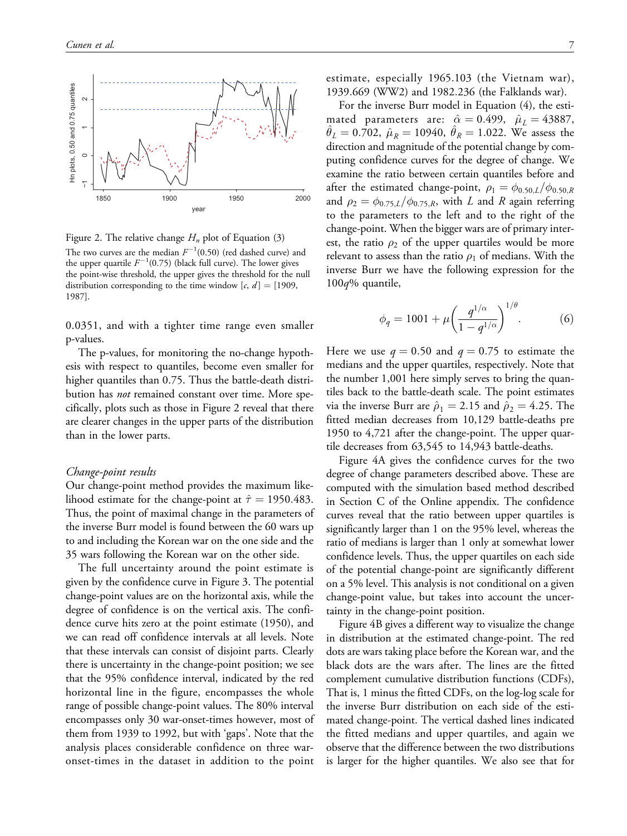

Figure 2. The relative change  $H_n$  plot of Equation (3) The two curves are the median  $F^{-1}(0.50)$  (red dashed curve) and the upper quartile  $F^{-1}(0.75)$  (black full curve). The lower gives the point-wise threshold, the upper gives the threshold for the null distribution corresponding to the time window  $[c, d] = [1909,$ 1987].

0.0351, and with a tighter time range even smaller p-values.

The p-values, for monitoring the no-change hypothesis with respect to quantiles, become even smaller for higher quantiles than 0.75. Thus the battle-death distribution has not remained constant over time. More specifically, plots such as those in Figure 2 reveal that there are clearer changes in the upper parts of the distribution than in the lower parts.

#### Change-point results

Our change-point method provides the maximum likelihood estimate for the change-point at  $\hat{\tau} = 1950.483$ . Thus, the point of maximal change in the parameters of the inverse Burr model is found between the 60 wars up to and including the Korean war on the one side and the 35 wars following the Korean war on the other side.

The full uncertainty around the point estimate is given by the confidence curve in Figure 3. The potential change-point values are on the horizontal axis, while the degree of confidence is on the vertical axis. The confidence curve hits zero at the point estimate (1950), and we can read off confidence intervals at all levels. Note that these intervals can consist of disjoint parts. Clearly there is uncertainty in the change-point position; we see that the 95% confidence interval, indicated by the red horizontal line in the figure, encompasses the whole range of possible change-point values. The 80% interval encompasses only 30 war-onset-times however, most of them from 1939 to 1992, but with 'gaps'. Note that the analysis places considerable confidence on three waronset-times in the dataset in addition to the point

estimate, especially 1965:103 (the Vietnam war), 1939:669 (WW2) and 1982:236 (the Falklands war).

For the inverse Burr model in Equation (4), the estimated parameters are:  $\hat{\alpha} = 0.499$ ,  $\hat{\mu}_L = 43887$ ,  $\hat{\theta}_L = 0.702$ ,  $\hat{\mu}_R = 10940$ ,  $\hat{\theta}_R = 1.022$ . We assess the direction and magnitude of the potential change by computing confidence curves for the degree of change. We examine the ratio between certain quantiles before and after the estimated change-point,  $\rho_1 = \phi_{0.50,L}/\phi_{0.50,R}$ and  $\rho_2 = \phi_{0.75,L}/\phi_{0.75,R}$ , with L and R again referring to the parameters to the left and to the right of the change-point. When the bigger wars are of primary interest, the ratio  $\rho_2$  of the upper quartiles would be more relevant to assess than the ratio  $\rho_1$  of medians. With the inverse Burr we have the following expression for the  $100q\%$  quantile,

$$
\phi_q = 1001 + \mu \left( \frac{q^{1/\alpha}}{1 - q^{1/\alpha}} \right)^{1/\theta}.
$$
 (6)

Here we use  $q = 0.50$  and  $q = 0.75$  to estimate the medians and the upper quartiles, respectively. Note that the number 1,001 here simply serves to bring the quantiles back to the battle-death scale. The point estimates via the inverse Burr are  $\hat{\rho}_1 = 2.15$  and  $\hat{\rho}_2 = 4.25$ . The fitted median decreases from 10,129 battle-deaths pre 1950 to 4,721 after the change-point. The upper quartile decreases from 63,545 to 14,943 battle-deaths.

Figure 4A gives the confidence curves for the two degree of change parameters described above. These are computed with the simulation based method described in Section C of the Online appendix. The confidence curves reveal that the ratio between upper quartiles is significantly larger than 1 on the 95% level, whereas the ratio of medians is larger than 1 only at somewhat lower confidence levels. Thus, the upper quartiles on each side of the potential change-point are significantly different on a 5% level. This analysis is not conditional on a given change-point value, but takes into account the uncertainty in the change-point position.

Figure 4B gives a different way to visualize the change in distribution at the estimated change-point. The red dots are wars taking place before the Korean war, and the black dots are the wars after. The lines are the fitted complement cumulative distribution functions (CDFs), That is, 1 minus the fitted CDFs, on the log-log scale for the inverse Burr distribution on each side of the estimated change-point. The vertical dashed lines indicated the fitted medians and upper quartiles, and again we observe that the difference between the two distributions is larger for the higher quantiles. We also see that for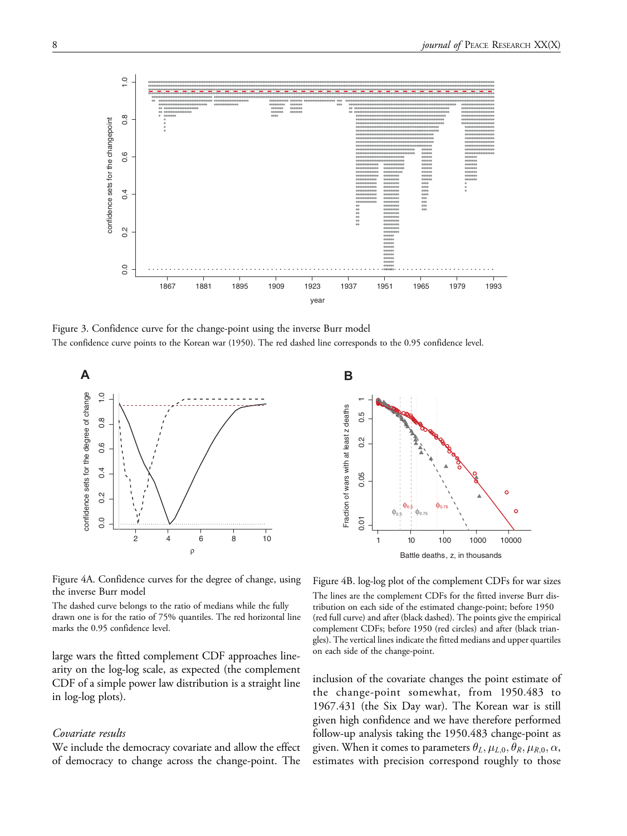

Figure 3. Confidence curve for the change-point using the inverse Burr model The confidence curve points to the Korean war (1950). The red dashed line corresponds to the 0.95 confidence level.



**B** 0.01 0.05 0.2 0.5 1 Fraction of wars with at least z deaths Fraction of wars with at least z deaths  $0.5$  $0.2$ 0.05  $\Omega$ φ0.5 φ0.75  $φ_{0.5}$   $φ_{0.75}$ Ċ  $0.01$ 1 10 100 1000 10000 Battle deaths, z, in thousands

Figure 4A. Confidence curves for the degree of change, using the inverse Burr model

The dashed curve belongs to the ratio of medians while the fully drawn one is for the ratio of 75% quantiles. The red horizontal line marks the 0.95 confidence level.

large wars the fitted complement CDF approaches linearity on the log-log scale, as expected (the complement CDF of a simple power law distribution is a straight line in log-log plots).

## Covariate results

We include the democracy covariate and allow the effect of democracy to change across the change-point. The

Figure 4B. log-log plot of the complement CDFs for war sizes The lines are the complement CDFs for the fitted inverse Burr distribution on each side of the estimated change-point; before 1950 (red full curve) and after (black dashed). The points give the empirical complement CDFs; before 1950 (red circles) and after (black triangles). The vertical lines indicate the fitted medians and upper quartiles on each side of the change-point.

inclusion of the covariate changes the point estimate of the change-point somewhat, from 1950:483 to 1967:431 (the Six Day war). The Korean war is still given high confidence and we have therefore performed follow-up analysis taking the 1950.483 change-point as given. When it comes to parameters  $\theta_L, \mu_{L,0}, \theta_R, \mu_{R,0}, \alpha$ , estimates with precision correspond roughly to those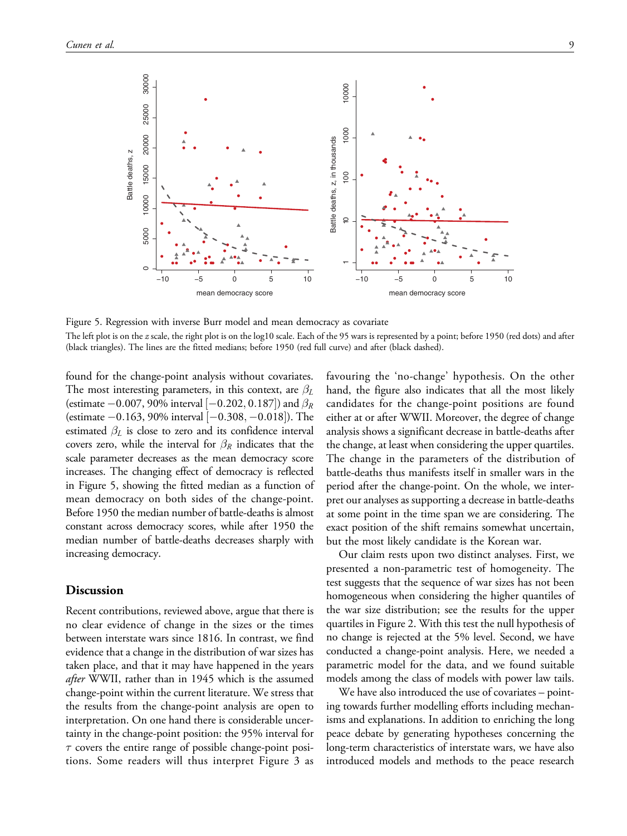

Figure 5. Regression with inverse Burr model and mean democracy as covariate The left plot is on the z scale, the right plot is on the log10 scale. Each of the 95 wars is represented by a point; before 1950 (red dots) and after (black triangles). The lines are the fitted medians; before 1950 (red full curve) and after (black dashed).

found for the change-point analysis without covariates. The most interesting parameters, in this context, are  $\beta_L$ (estimate  $-0.007$ , 90% interval  $[-0.202, 0.187]$ ) and  $\beta_R$ (estimate  $-0.163$ , 90% interval  $[-0.308, -0.018]$ ). The estimated  $\beta_L$  is close to zero and its confidence interval covers zero, while the interval for  $\beta_R$  indicates that the scale parameter decreases as the mean democracy score increases. The changing effect of democracy is reflected in Figure 5, showing the fitted median as a function of mean democracy on both sides of the change-point. Before 1950 the median number of battle-deaths is almost constant across democracy scores, while after 1950 the median number of battle-deaths decreases sharply with increasing democracy.

## Discussion

Recent contributions, reviewed above, argue that there is no clear evidence of change in the sizes or the times between interstate wars since 1816. In contrast, we find evidence that a change in the distribution of war sizes has taken place, and that it may have happened in the years after WWII, rather than in 1945 which is the assumed change-point within the current literature. We stress that the results from the change-point analysis are open to interpretation. On one hand there is considerable uncertainty in the change-point position: the 95% interval for  $\tau$  covers the entire range of possible change-point positions. Some readers will thus interpret Figure 3 as

favouring the 'no-change' hypothesis. On the other hand, the figure also indicates that all the most likely candidates for the change-point positions are found either at or after WWII. Moreover, the degree of change analysis shows a significant decrease in battle-deaths after the change, at least when considering the upper quartiles. The change in the parameters of the distribution of battle-deaths thus manifests itself in smaller wars in the period after the change-point. On the whole, we interpret our analyses as supporting a decrease in battle-deaths at some point in the time span we are considering. The exact position of the shift remains somewhat uncertain, but the most likely candidate is the Korean war.

Our claim rests upon two distinct analyses. First, we presented a non-parametric test of homogeneity. The test suggests that the sequence of war sizes has not been homogeneous when considering the higher quantiles of the war size distribution; see the results for the upper quartiles in Figure 2. With this test the null hypothesis of no change is rejected at the 5% level. Second, we have conducted a change-point analysis. Here, we needed a parametric model for the data, and we found suitable models among the class of models with power law tails.

We have also introduced the use of covariates – pointing towards further modelling efforts including mechanisms and explanations. In addition to enriching the long peace debate by generating hypotheses concerning the long-term characteristics of interstate wars, we have also introduced models and methods to the peace research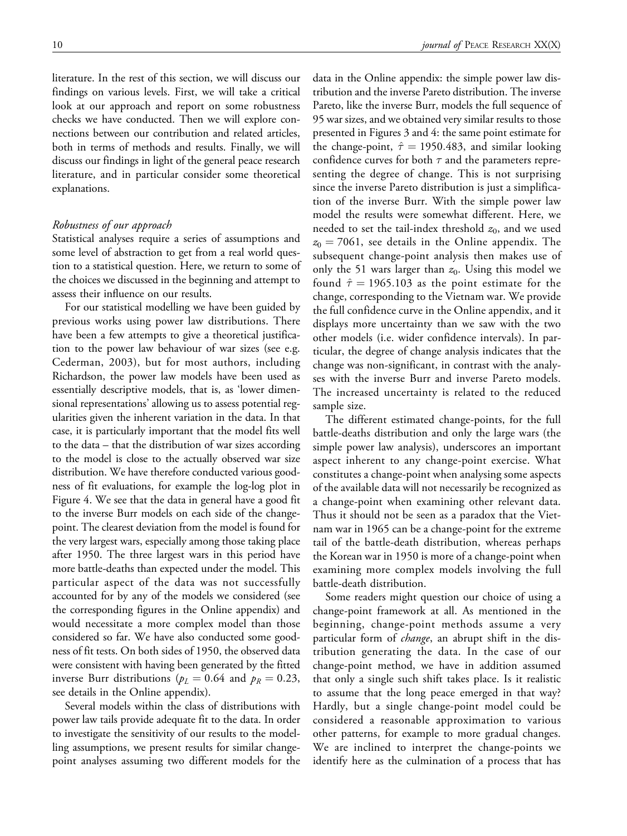literature. In the rest of this section, we will discuss our findings on various levels. First, we will take a critical look at our approach and report on some robustness checks we have conducted. Then we will explore connections between our contribution and related articles, both in terms of methods and results. Finally, we will discuss our findings in light of the general peace research literature, and in particular consider some theoretical explanations.

#### Robustness of our approach

Statistical analyses require a series of assumptions and some level of abstraction to get from a real world question to a statistical question. Here, we return to some of the choices we discussed in the beginning and attempt to assess their influence on our results.

For our statistical modelling we have been guided by previous works using power law distributions. There have been a few attempts to give a theoretical justification to the power law behaviour of war sizes (see e.g. Cederman, 2003), but for most authors, including Richardson, the power law models have been used as essentially descriptive models, that is, as 'lower dimensional representations' allowing us to assess potential regularities given the inherent variation in the data. In that case, it is particularly important that the model fits well to the data – that the distribution of war sizes according to the model is close to the actually observed war size distribution. We have therefore conducted various goodness of fit evaluations, for example the log-log plot in Figure 4. We see that the data in general have a good fit to the inverse Burr models on each side of the changepoint. The clearest deviation from the model is found for the very largest wars, especially among those taking place after 1950. The three largest wars in this period have more battle-deaths than expected under the model. This particular aspect of the data was not successfully accounted for by any of the models we considered (see the corresponding figures in the Online appendix) and would necessitate a more complex model than those considered so far. We have also conducted some goodness of fit tests. On both sides of 1950, the observed data were consistent with having been generated by the fitted inverse Burr distributions ( $p_L = 0.64$  and  $p_R = 0.23$ , see details in the Online appendix).

Several models within the class of distributions with power law tails provide adequate fit to the data. In order to investigate the sensitivity of our results to the modelling assumptions, we present results for similar changepoint analyses assuming two different models for the data in the Online appendix: the simple power law distribution and the inverse Pareto distribution. The inverse Pareto, like the inverse Burr, models the full sequence of 95 war sizes, and we obtained very similar results to those presented in Figures 3 and 4: the same point estimate for the change-point,  $\hat{\tau} = 1950.483$ , and similar looking confidence curves for both  $\tau$  and the parameters representing the degree of change. This is not surprising since the inverse Pareto distribution is just a simplification of the inverse Burr. With the simple power law model the results were somewhat different. Here, we needed to set the tail-index threshold  $z_0$ , and we used  $z_0$  = 7061, see details in the Online appendix. The subsequent change-point analysis then makes use of only the 51 wars larger than  $z_0$ . Using this model we found  $\hat{\tau} = 1965.103$  as the point estimate for the change, corresponding to the Vietnam war. We provide the full confidence curve in the Online appendix, and it displays more uncertainty than we saw with the two other models (i.e. wider confidence intervals). In particular, the degree of change analysis indicates that the change was non-significant, in contrast with the analyses with the inverse Burr and inverse Pareto models. The increased uncertainty is related to the reduced sample size.

The different estimated change-points, for the full battle-deaths distribution and only the large wars (the simple power law analysis), underscores an important aspect inherent to any change-point exercise. What constitutes a change-point when analysing some aspects of the available data will not necessarily be recognized as a change-point when examining other relevant data. Thus it should not be seen as a paradox that the Vietnam war in 1965 can be a change-point for the extreme tail of the battle-death distribution, whereas perhaps the Korean war in 1950 is more of a change-point when examining more complex models involving the full battle-death distribution.

Some readers might question our choice of using a change-point framework at all. As mentioned in the beginning, change-point methods assume a very particular form of *change*, an abrupt shift in the distribution generating the data. In the case of our change-point method, we have in addition assumed that only a single such shift takes place. Is it realistic to assume that the long peace emerged in that way? Hardly, but a single change-point model could be considered a reasonable approximation to various other patterns, for example to more gradual changes. We are inclined to interpret the change-points we identify here as the culmination of a process that has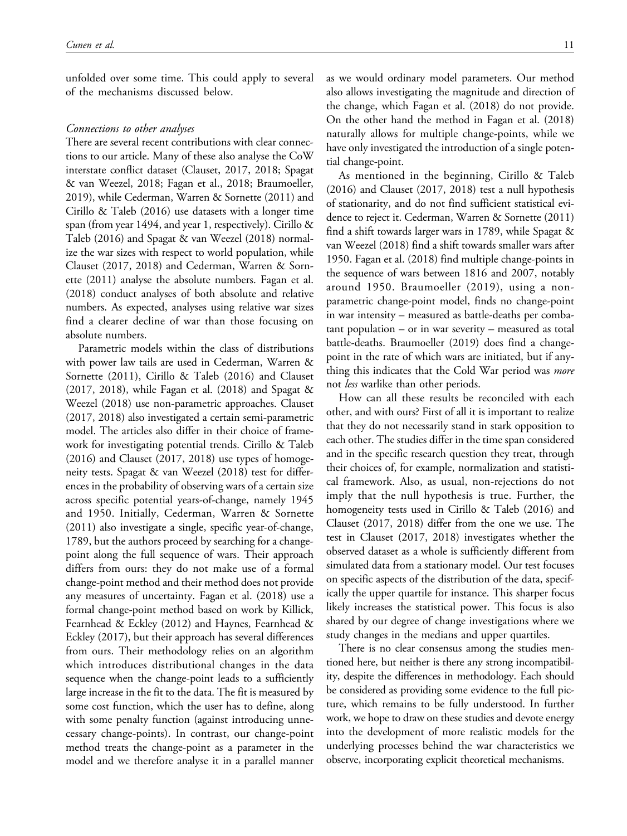unfolded over some time. This could apply to several of the mechanisms discussed below.

## Connections to other analyses

There are several recent contributions with clear connections to our article. Many of these also analyse the CoW interstate conflict dataset (Clauset, 2017, 2018; Spagat & van Weezel, 2018; Fagan et al., 2018; Braumoeller, 2019), while Cederman, Warren & Sornette (2011) and Cirillo & Taleb (2016) use datasets with a longer time span (from year 1494, and year 1, respectively). Cirillo & Taleb (2016) and Spagat & van Weezel (2018) normalize the war sizes with respect to world population, while Clauset (2017, 2018) and Cederman, Warren & Sornette (2011) analyse the absolute numbers. Fagan et al. (2018) conduct analyses of both absolute and relative numbers. As expected, analyses using relative war sizes find a clearer decline of war than those focusing on absolute numbers.

Parametric models within the class of distributions with power law tails are used in Cederman, Warren & Sornette (2011), Cirillo & Taleb (2016) and Clauset (2017, 2018), while Fagan et al. (2018) and Spagat & Weezel (2018) use non-parametric approaches. Clauset (2017, 2018) also investigated a certain semi-parametric model. The articles also differ in their choice of framework for investigating potential trends. Cirillo & Taleb (2016) and Clauset (2017, 2018) use types of homogeneity tests. Spagat & van Weezel (2018) test for differences in the probability of observing wars of a certain size across specific potential years-of-change, namely 1945 and 1950. Initially, Cederman, Warren & Sornette (2011) also investigate a single, specific year-of-change, 1789, but the authors proceed by searching for a changepoint along the full sequence of wars. Their approach differs from ours: they do not make use of a formal change-point method and their method does not provide any measures of uncertainty. Fagan et al. (2018) use a formal change-point method based on work by Killick, Fearnhead & Eckley (2012) and Haynes, Fearnhead & Eckley (2017), but their approach has several differences from ours. Their methodology relies on an algorithm which introduces distributional changes in the data sequence when the change-point leads to a sufficiently large increase in the fit to the data. The fit is measured by some cost function, which the user has to define, along with some penalty function (against introducing unnecessary change-points). In contrast, our change-point method treats the change-point as a parameter in the model and we therefore analyse it in a parallel manner

as we would ordinary model parameters. Our method also allows investigating the magnitude and direction of the change, which Fagan et al. (2018) do not provide. On the other hand the method in Fagan et al. (2018) naturally allows for multiple change-points, while we have only investigated the introduction of a single potential change-point.

As mentioned in the beginning, Cirillo & Taleb (2016) and Clauset (2017, 2018) test a null hypothesis of stationarity, and do not find sufficient statistical evidence to reject it. Cederman, Warren & Sornette (2011) find a shift towards larger wars in 1789, while Spagat & van Weezel (2018) find a shift towards smaller wars after 1950. Fagan et al. (2018) find multiple change-points in the sequence of wars between 1816 and 2007, notably around 1950. Braumoeller (2019), using a nonparametric change-point model, finds no change-point in war intensity – measured as battle-deaths per combatant population – or in war severity – measured as total battle-deaths. Braumoeller (2019) does find a changepoint in the rate of which wars are initiated, but if anything this indicates that the Cold War period was *more* not less warlike than other periods.

How can all these results be reconciled with each other, and with ours? First of all it is important to realize that they do not necessarily stand in stark opposition to each other. The studies differ in the time span considered and in the specific research question they treat, through their choices of, for example, normalization and statistical framework. Also, as usual, non-rejections do not imply that the null hypothesis is true. Further, the homogeneity tests used in Cirillo & Taleb (2016) and Clauset (2017, 2018) differ from the one we use. The test in Clauset (2017, 2018) investigates whether the observed dataset as a whole is sufficiently different from simulated data from a stationary model. Our test focuses on specific aspects of the distribution of the data, specifically the upper quartile for instance. This sharper focus likely increases the statistical power. This focus is also shared by our degree of change investigations where we study changes in the medians and upper quartiles.

There is no clear consensus among the studies mentioned here, but neither is there any strong incompatibility, despite the differences in methodology. Each should be considered as providing some evidence to the full picture, which remains to be fully understood. In further work, we hope to draw on these studies and devote energy into the development of more realistic models for the underlying processes behind the war characteristics we observe, incorporating explicit theoretical mechanisms.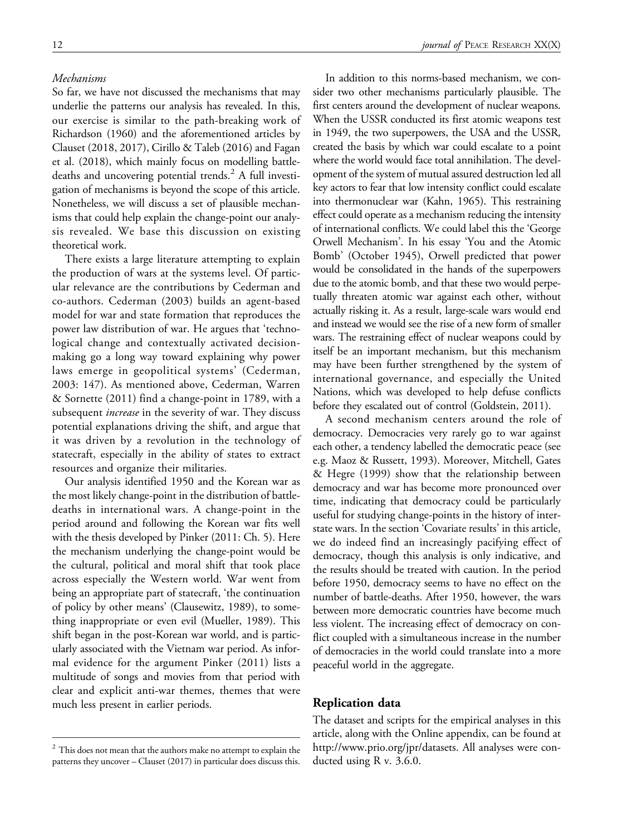## Mechanisms

So far, we have not discussed the mechanisms that may underlie the patterns our analysis has revealed. In this, our exercise is similar to the path-breaking work of Richardson (1960) and the aforementioned articles by Clauset (2018, 2017), Cirillo & Taleb (2016) and Fagan et al. (2018), which mainly focus on modelling battledeaths and uncovering potential trends.<sup>2</sup> A full investigation of mechanisms is beyond the scope of this article. Nonetheless, we will discuss a set of plausible mechanisms that could help explain the change-point our analysis revealed. We base this discussion on existing theoretical work.

There exists a large literature attempting to explain the production of wars at the systems level. Of particular relevance are the contributions by Cederman and co-authors. Cederman (2003) builds an agent-based model for war and state formation that reproduces the power law distribution of war. He argues that 'technological change and contextually activated decisionmaking go a long way toward explaining why power laws emerge in geopolitical systems' (Cederman, 2003: 147). As mentioned above, Cederman, Warren & Sornette (2011) find a change-point in 1789, with a subsequent *increase* in the severity of war. They discuss potential explanations driving the shift, and argue that it was driven by a revolution in the technology of statecraft, especially in the ability of states to extract resources and organize their militaries.

Our analysis identified 1950 and the Korean war as the most likely change-point in the distribution of battledeaths in international wars. A change-point in the period around and following the Korean war fits well with the thesis developed by Pinker (2011: Ch. 5). Here the mechanism underlying the change-point would be the cultural, political and moral shift that took place across especially the Western world. War went from being an appropriate part of statecraft, 'the continuation of policy by other means' (Clausewitz, 1989), to something inappropriate or even evil (Mueller, 1989). This shift began in the post-Korean war world, and is particularly associated with the Vietnam war period. As informal evidence for the argument Pinker (2011) lists a multitude of songs and movies from that period with clear and explicit anti-war themes, themes that were much less present in earlier periods.

In addition to this norms-based mechanism, we consider two other mechanisms particularly plausible. The first centers around the development of nuclear weapons. When the USSR conducted its first atomic weapons test in 1949, the two superpowers, the USA and the USSR, created the basis by which war could escalate to a point where the world would face total annihilation. The development of the system of mutual assured destruction led all key actors to fear that low intensity conflict could escalate into thermonuclear war (Kahn, 1965). This restraining effect could operate as a mechanism reducing the intensity of international conflicts. We could label this the 'George Orwell Mechanism'. In his essay 'You and the Atomic Bomb' (October 1945), Orwell predicted that power would be consolidated in the hands of the superpowers due to the atomic bomb, and that these two would perpetually threaten atomic war against each other, without actually risking it. As a result, large-scale wars would end and instead we would see the rise of a new form of smaller wars. The restraining effect of nuclear weapons could by itself be an important mechanism, but this mechanism may have been further strengthened by the system of international governance, and especially the United Nations, which was developed to help defuse conflicts before they escalated out of control (Goldstein, 2011).

A second mechanism centers around the role of democracy. Democracies very rarely go to war against each other, a tendency labelled the democratic peace (see e.g. Maoz & Russett, 1993). Moreover, Mitchell, Gates & Hegre (1999) show that the relationship between democracy and war has become more pronounced over time, indicating that democracy could be particularly useful for studying change-points in the history of interstate wars. In the section 'Covariate results' in this article, we do indeed find an increasingly pacifying effect of democracy, though this analysis is only indicative, and the results should be treated with caution. In the period before 1950, democracy seems to have no effect on the number of battle-deaths. After 1950, however, the wars between more democratic countries have become much less violent. The increasing effect of democracy on conflict coupled with a simultaneous increase in the number of democracies in the world could translate into a more peaceful world in the aggregate.

## Replication data

The dataset and scripts for the empirical analyses in this article, along with the Online appendix, can be found at <http://www.prio.org/jpr/datasets>. All analyses were conducted using R v. 3.6.0.

 $2$  This does not mean that the authors make no attempt to explain the patterns they uncover – Clauset (2017) in particular does discuss this.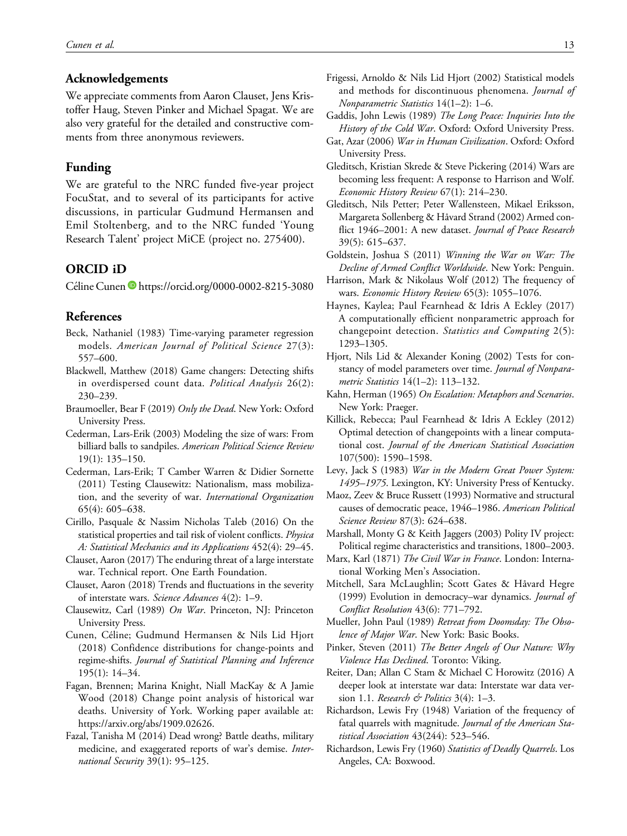## Acknowledgements

We appreciate comments from Aaron Clauset, Jens Kristoffer Haug, Steven Pinker and Michael Spagat. We are also very grateful for the detailed and constructive comments from three anonymous reviewers.

# Funding

We are grateful to the NRC funded five-year project FocuStat, and to several of its participants for active discussions, in particular Gudmund Hermansen and Emil Stoltenberg, and to the NRC funded 'Young Research Talent' project MiCE (project no. 275400).

## ORCID iD

Céline Cunen <sup>to</sup> <https://orcid.org/0000-0002-8215-3080>

#### References

- Beck, Nathaniel (1983) Time-varying parameter regression models. American Journal of Political Science 27(3): 557–600.
- Blackwell, Matthew (2018) Game changers: Detecting shifts in overdispersed count data. Political Analysis 26(2): 230–239.
- Braumoeller, Bear F (2019) Only the Dead. New York: Oxford University Press.
- Cederman, Lars-Erik (2003) Modeling the size of wars: From billiard balls to sandpiles. American Political Science Review 19(1): 135–150.
- Cederman, Lars-Erik; T Camber Warren & Didier Sornette (2011) Testing Clausewitz: Nationalism, mass mobilization, and the severity of war. International Organization 65(4): 605–638.
- Cirillo, Pasquale & Nassim Nicholas Taleb (2016) On the statistical properties and tail risk of violent conflicts. Physica A: Statistical Mechanics and its Applications 452(4): 29–45.
- Clauset, Aaron (2017) The enduring threat of a large interstate war. Technical report. One Earth Foundation.
- Clauset, Aaron (2018) Trends and fluctuations in the severity of interstate wars. Science Advances 4(2): 1–9.
- Clausewitz, Carl (1989) On War. Princeton, NJ: Princeton University Press.
- Cunen, Céline; Gudmund Hermansen & Nils Lid Hjort (2018) Confidence distributions for change-points and regime-shifts. Journal of Statistical Planning and Inference 195(1): 14–34.
- Fagan, Brennen; Marina Knight, Niall MacKay & A Jamie Wood (2018) Change point analysis of historical war deaths. University of York. Working paper available at: <https://arxiv.org/abs/1909.02626>.
- Fazal, Tanisha M (2014) Dead wrong? Battle deaths, military medicine, and exaggerated reports of war's demise. International Security 39(1): 95–125.
- Frigessi, Arnoldo & Nils Lid Hjort (2002) Statistical models and methods for discontinuous phenomena. *Journal of* Nonparametric Statistics 14(1–2): 1–6.
- Gaddis, John Lewis (1989) The Long Peace: Inquiries Into the History of the Cold War. Oxford: Oxford University Press.
- Gat, Azar (2006) War in Human Civilization. Oxford: Oxford University Press.
- Gleditsch, Kristian Skrede & Steve Pickering (2014) Wars are becoming less frequent: A response to Harrison and Wolf. Economic History Review 67(1): 214–230.
- Gleditsch, Nils Petter; Peter Wallensteen, Mikael Eriksson, Margareta Sollenberg & Håvard Strand (2002) Armed conflict 1946-2001: A new dataset. Journal of Peace Research 39(5): 615–637.
- Goldstein, Joshua S (2011) Winning the War on War: The Decline of Armed Conflict Worldwide. New York: Penguin.
- Harrison, Mark & Nikolaus Wolf (2012) The frequency of wars. Economic History Review 65(3): 1055–1076.
- Haynes, Kaylea; Paul Fearnhead & Idris A Eckley (2017) A computationally efficient nonparametric approach for changepoint detection. Statistics and Computing 2(5): 1293–1305.
- Hjort, Nils Lid & Alexander Koning (2002) Tests for constancy of model parameters over time. *Journal of Nonpara*metric Statistics 14(1–2): 113–132.
- Kahn, Herman (1965) On Escalation: Metaphors and Scenarios. New York: Praeger.
- Killick, Rebecca; Paul Fearnhead & Idris A Eckley (2012) Optimal detection of changepoints with a linear computational cost. Journal of the American Statistical Association 107(500): 1590–1598.
- Levy, Jack S (1983) War in the Modern Great Power System: 1495–1975. Lexington, KY: University Press of Kentucky.
- Maoz, Zeev & Bruce Russett (1993) Normative and structural causes of democratic peace, 1946–1986. American Political Science Review 87(3): 624–638.
- Marshall, Monty G & Keith Jaggers (2003) Polity IV project: Political regime characteristics and transitions, 1800–2003.
- Marx, Karl (1871) The Civil War in France. London: International Working Men's Association.
- Mitchell, Sara McLaughlin; Scott Gates & Håvard Hegre (1999) Evolution in democracy–war dynamics. Journal of Conflict Resolution 43(6): 771–792.
- Mueller, John Paul (1989) Retreat from Doomsday: The Obsolence of Major War. New York: Basic Books.
- Pinker, Steven (2011) The Better Angels of Our Nature: Why Violence Has Declined. Toronto: Viking.
- Reiter, Dan; Allan C Stam & Michael C Horowitz (2016) A deeper look at interstate war data: Interstate war data version 1.1. Research & Politics  $3(4)$ : 1-3.
- Richardson, Lewis Fry (1948) Variation of the frequency of fatal quarrels with magnitude. Journal of the American Statistical Association 43(244): 523–546.
- Richardson, Lewis Fry (1960) Statistics of Deadly Quarrels. Los Angeles, CA: Boxwood.